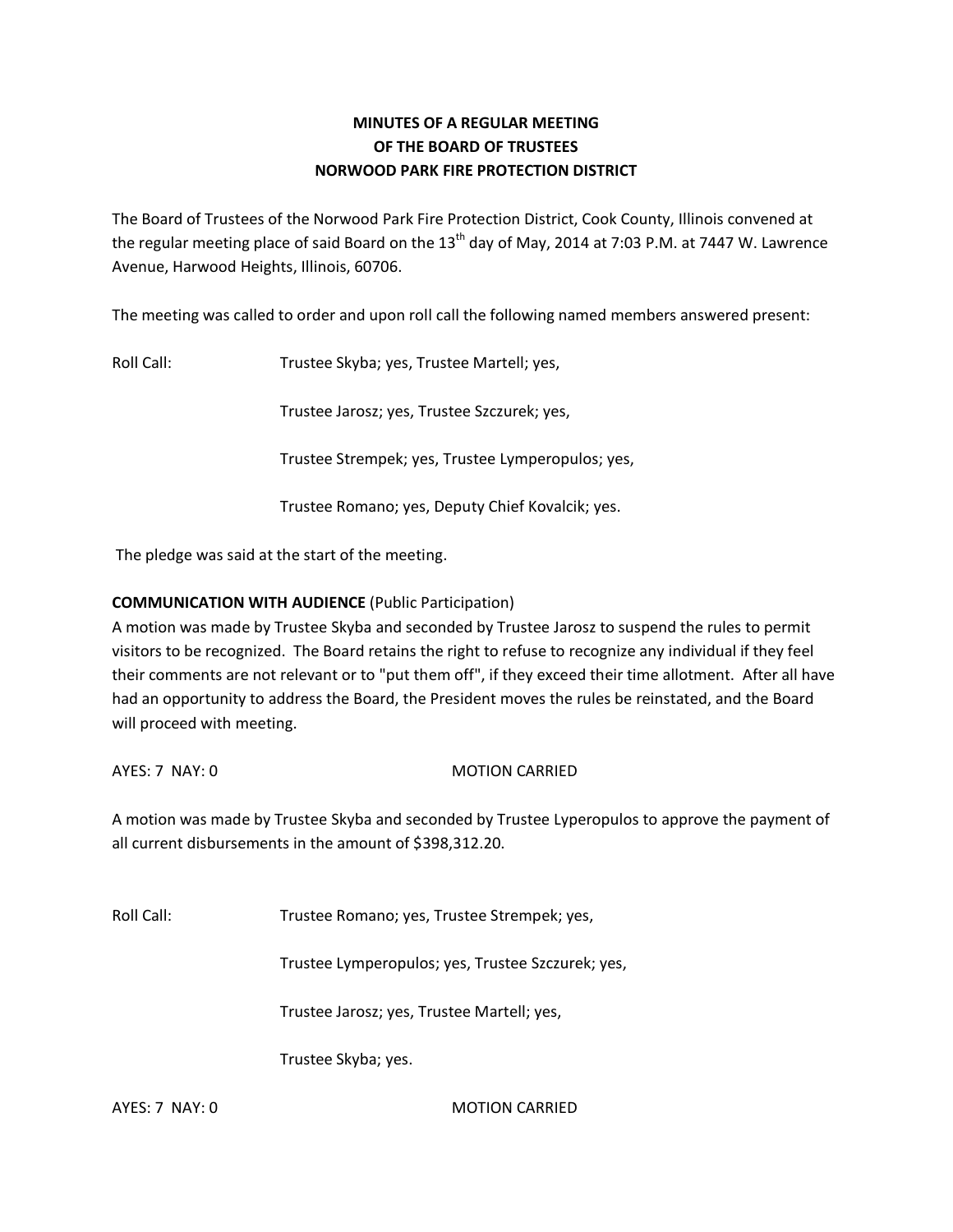# **MINUTES OF A REGULAR MEETING OF THE BOARD OF TRUSTEES NORWOOD PARK FIRE PROTECTION DISTRICT**

The Board of Trustees of the Norwood Park Fire Protection District, Cook County, Illinois convened at the regular meeting place of said Board on the  $13<sup>th</sup>$  day of May, 2014 at 7:03 P.M. at 7447 W. Lawrence Avenue, Harwood Heights, Illinois, 60706.

The meeting was called to order and upon roll call the following named members answered present:

Roll Call: Trustee Skyba; yes, Trustee Martell; yes,

Trustee Jarosz; yes, Trustee Szczurek; yes,

Trustee Strempek; yes, Trustee Lymperopulos; yes,

Trustee Romano; yes, Deputy Chief Kovalcik; yes.

The pledge was said at the start of the meeting.

## **COMMUNICATION WITH AUDIENCE** (Public Participation)

A motion was made by Trustee Skyba and seconded by Trustee Jarosz to suspend the rules to permit visitors to be recognized. The Board retains the right to refuse to recognize any individual if they feel their comments are not relevant or to "put them off", if they exceed their time allotment. After all have had an opportunity to address the Board, the President moves the rules be reinstated, and the Board will proceed with meeting.

AYES: 7 NAY: 0 MOTION CARRIED

A motion was made by Trustee Skyba and seconded by Trustee Lyperopulos to approve the payment of all current disbursements in the amount of \$398,312.20.

Roll Call: Trustee Romano; yes, Trustee Strempek; yes,

Trustee Lymperopulos; yes, Trustee Szczurek; yes,

Trustee Jarosz; yes, Trustee Martell; yes,

Trustee Skyba; yes.

AYES: 7 NAY: 0 MOTION CARRIED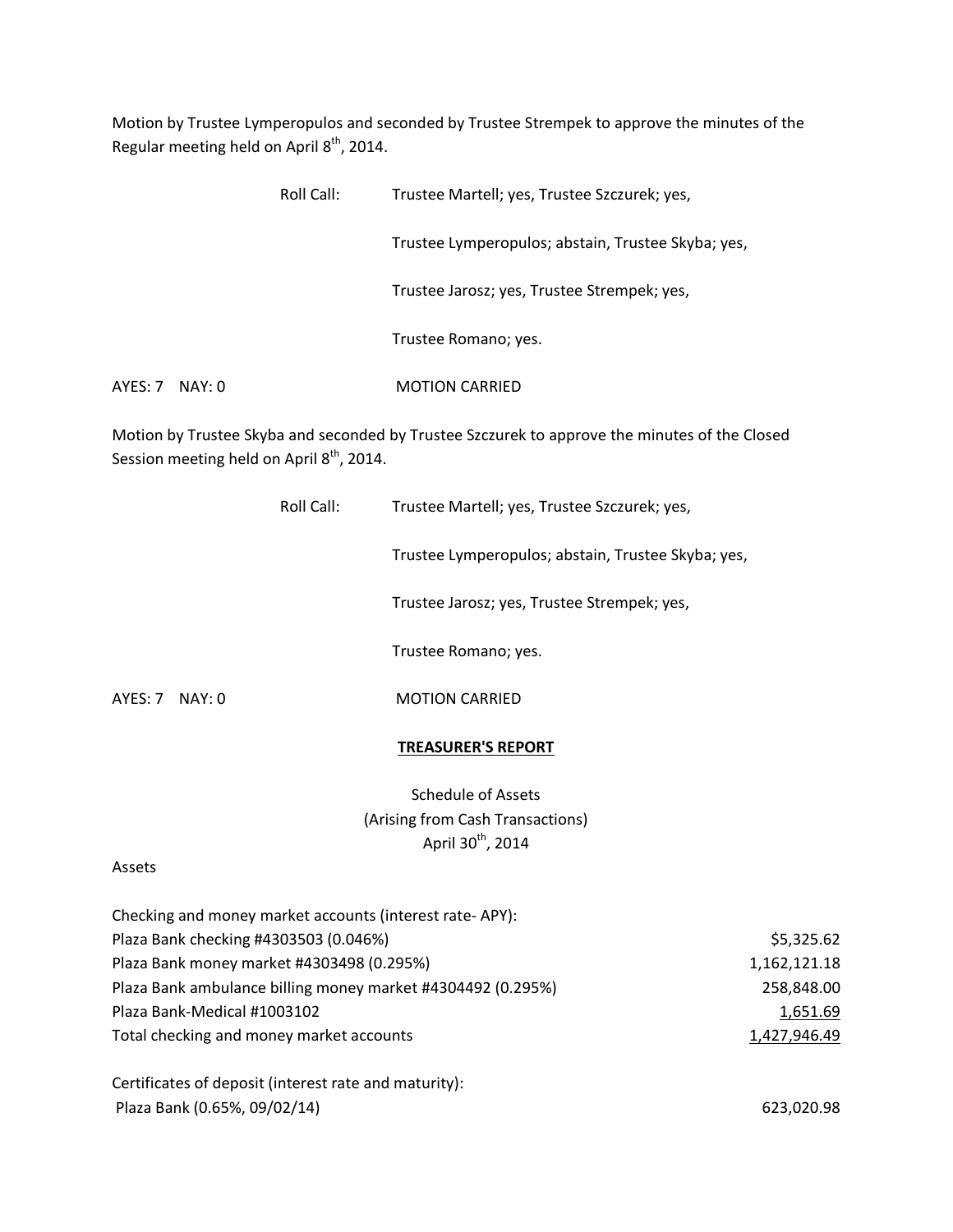Motion by Trustee Lymperopulos and seconded by Trustee Strempek to approve the minutes of the Regular meeting held on April  $8<sup>th</sup>$ , 2014.

|                   | Roll Call: | Trustee Martell; yes, Trustee Szczurek; yes,       |
|-------------------|------------|----------------------------------------------------|
|                   |            | Trustee Lymperopulos; abstain, Trustee Skyba; yes, |
|                   |            | Trustee Jarosz; yes, Trustee Strempek; yes,        |
|                   |            | Trustee Romano; yes.                               |
| AYES: 7<br>NAY: 0 |            | <b>MOTION CARRIED</b>                              |

Motion by Trustee Skyba and seconded by Trustee Szczurek to approve the minutes of the Closed Session meeting held on April 8<sup>th</sup>, 2014.

|         |        | Roll Call: | Trustee Martell; yes, Trustee Szczurek; yes,       |
|---------|--------|------------|----------------------------------------------------|
|         |        |            | Trustee Lymperopulos; abstain, Trustee Skyba; yes, |
|         |        |            | Trustee Jarosz; yes, Trustee Strempek; yes,        |
|         |        |            | Trustee Romano; yes.                               |
| AYES: 7 | NAY: 0 |            | <b>MOTION CARRIED</b>                              |

#### **TREASURER'S REPORT**

Schedule of Assets (Arising from Cash Transactions) April  $30<sup>th</sup>$ , 2014

#### Assets

| Checking and money market accounts (interest rate-APY):     |              |
|-------------------------------------------------------------|--------------|
| Plaza Bank checking #4303503 (0.046%)                       | \$5,325.62   |
| Plaza Bank money market #4303498 (0.295%)                   | 1,162,121.18 |
| Plaza Bank ambulance billing money market #4304492 (0.295%) | 258,848.00   |
| Plaza Bank-Medical #1003102                                 | 1,651.69     |
| Total checking and money market accounts                    | 1,427,946.49 |
| Certificates of deposit (interest rate and maturity):       |              |
| Plaza Bank (0.65%, 09/02/14)                                | 623,020.98   |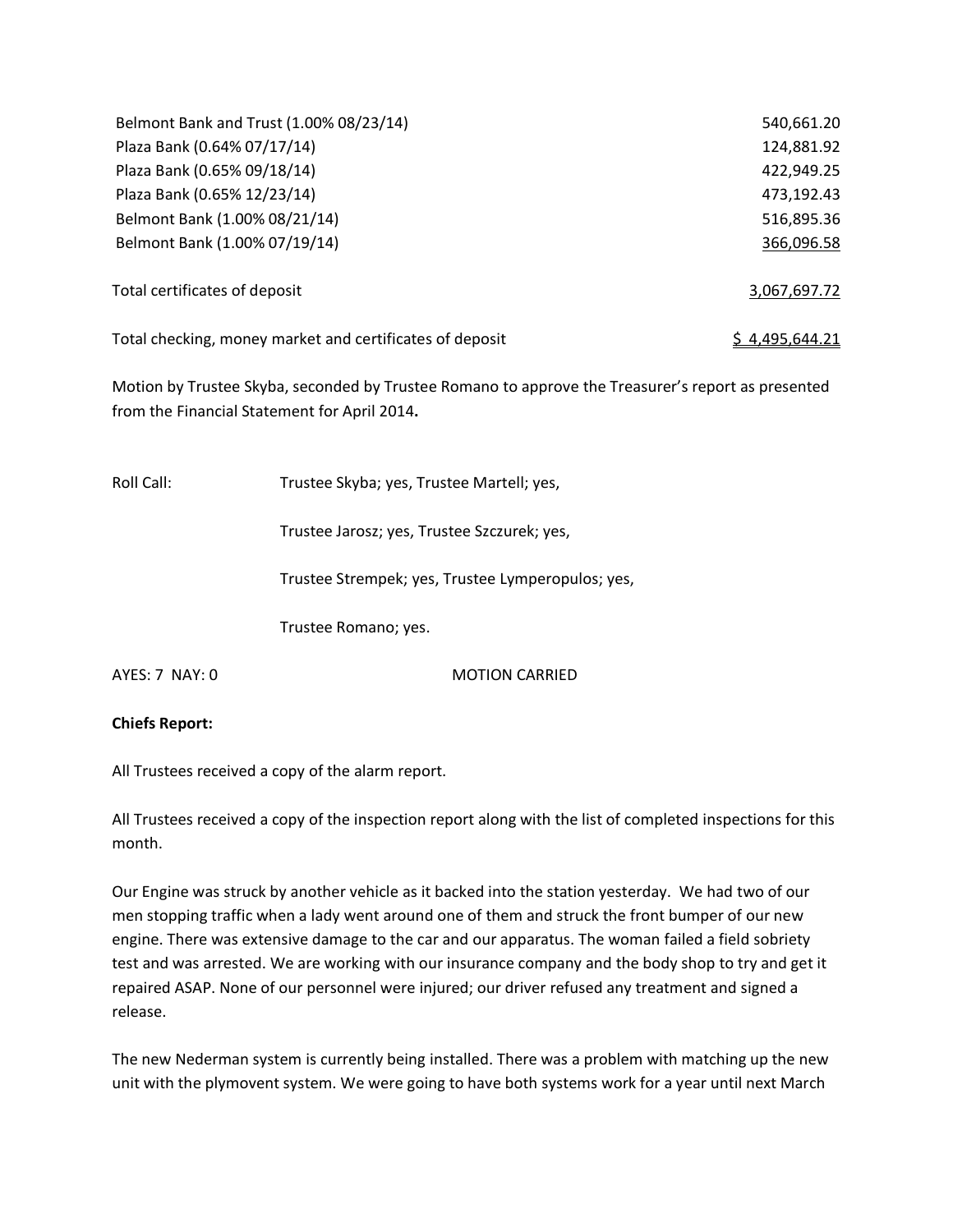| Belmont Bank and Trust (1.00% 08/23/14)                  | 540,661.20     |
|----------------------------------------------------------|----------------|
| Plaza Bank (0.64% 07/17/14)                              | 124,881.92     |
| Plaza Bank (0.65% 09/18/14)                              | 422,949.25     |
| Plaza Bank (0.65% 12/23/14)                              | 473,192.43     |
| Belmont Bank (1.00% 08/21/14)                            | 516,895.36     |
| Belmont Bank (1.00% 07/19/14)                            | 366,096.58     |
| Total certificates of deposit                            | 3,067,697.72   |
| Total checking, money market and certificates of deposit | \$4,495,644.21 |

Motion by Trustee Skyba, seconded by Trustee Romano to approve the Treasurer's report as presented from the Financial Statement for April 2014**.** 

| Roll Call:       | Trustee Skyba; yes, Trustee Martell; yes,         |  |  |
|------------------|---------------------------------------------------|--|--|
|                  | Trustee Jarosz; yes, Trustee Szczurek; yes,       |  |  |
|                  | Trustee Strempek; yes, Trustee Lymperopulos; yes, |  |  |
|                  | Trustee Romano; yes.                              |  |  |
| $AYFS: 7$ NAY: 0 | <b>MOTION CARRIFD</b>                             |  |  |

## **Chiefs Report:**

All Trustees received a copy of the alarm report.

All Trustees received a copy of the inspection report along with the list of completed inspections for this month.

Our Engine was struck by another vehicle as it backed into the station yesterday. We had two of our men stopping traffic when a lady went around one of them and struck the front bumper of our new engine. There was extensive damage to the car and our apparatus. The woman failed a field sobriety test and was arrested. We are working with our insurance company and the body shop to try and get it repaired ASAP. None of our personnel were injured; our driver refused any treatment and signed a release.

The new Nederman system is currently being installed. There was a problem with matching up the new unit with the plymovent system. We were going to have both systems work for a year until next March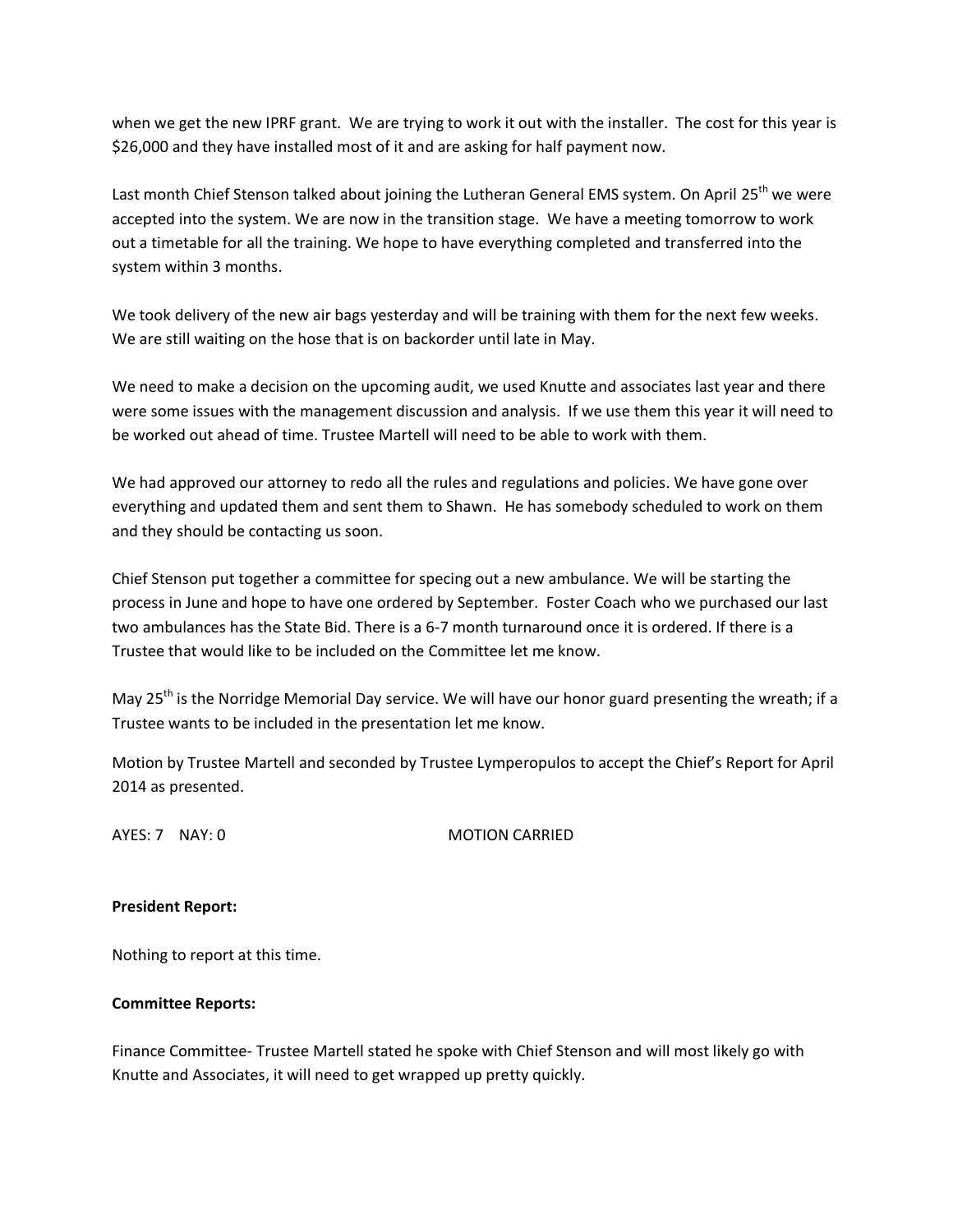when we get the new IPRF grant. We are trying to work it out with the installer. The cost for this year is \$26,000 and they have installed most of it and are asking for half payment now.

Last month Chief Stenson talked about joining the Lutheran General EMS system. On April 25<sup>th</sup> we were accepted into the system. We are now in the transition stage. We have a meeting tomorrow to work out a timetable for all the training. We hope to have everything completed and transferred into the system within 3 months.

We took delivery of the new air bags yesterday and will be training with them for the next few weeks. We are still waiting on the hose that is on backorder until late in May.

We need to make a decision on the upcoming audit, we used Knutte and associates last year and there were some issues with the management discussion and analysis. If we use them this year it will need to be worked out ahead of time. Trustee Martell will need to be able to work with them.

We had approved our attorney to redo all the rules and regulations and policies. We have gone over everything and updated them and sent them to Shawn. He has somebody scheduled to work on them and they should be contacting us soon.

Chief Stenson put together a committee for specing out a new ambulance. We will be starting the process in June and hope to have one ordered by September. Foster Coach who we purchased our last two ambulances has the State Bid. There is a 6-7 month turnaround once it is ordered. If there is a Trustee that would like to be included on the Committee let me know.

May 25<sup>th</sup> is the Norridge Memorial Day service. We will have our honor guard presenting the wreath; if a Trustee wants to be included in the presentation let me know.

Motion by Trustee Martell and seconded by Trustee Lymperopulos to accept the Chief's Report for April 2014 as presented.

AYES: 7 NAY: 0 MOTION CARRIED

## **President Report:**

Nothing to report at this time.

## **Committee Reports:**

Finance Committee- Trustee Martell stated he spoke with Chief Stenson and will most likely go with Knutte and Associates, it will need to get wrapped up pretty quickly.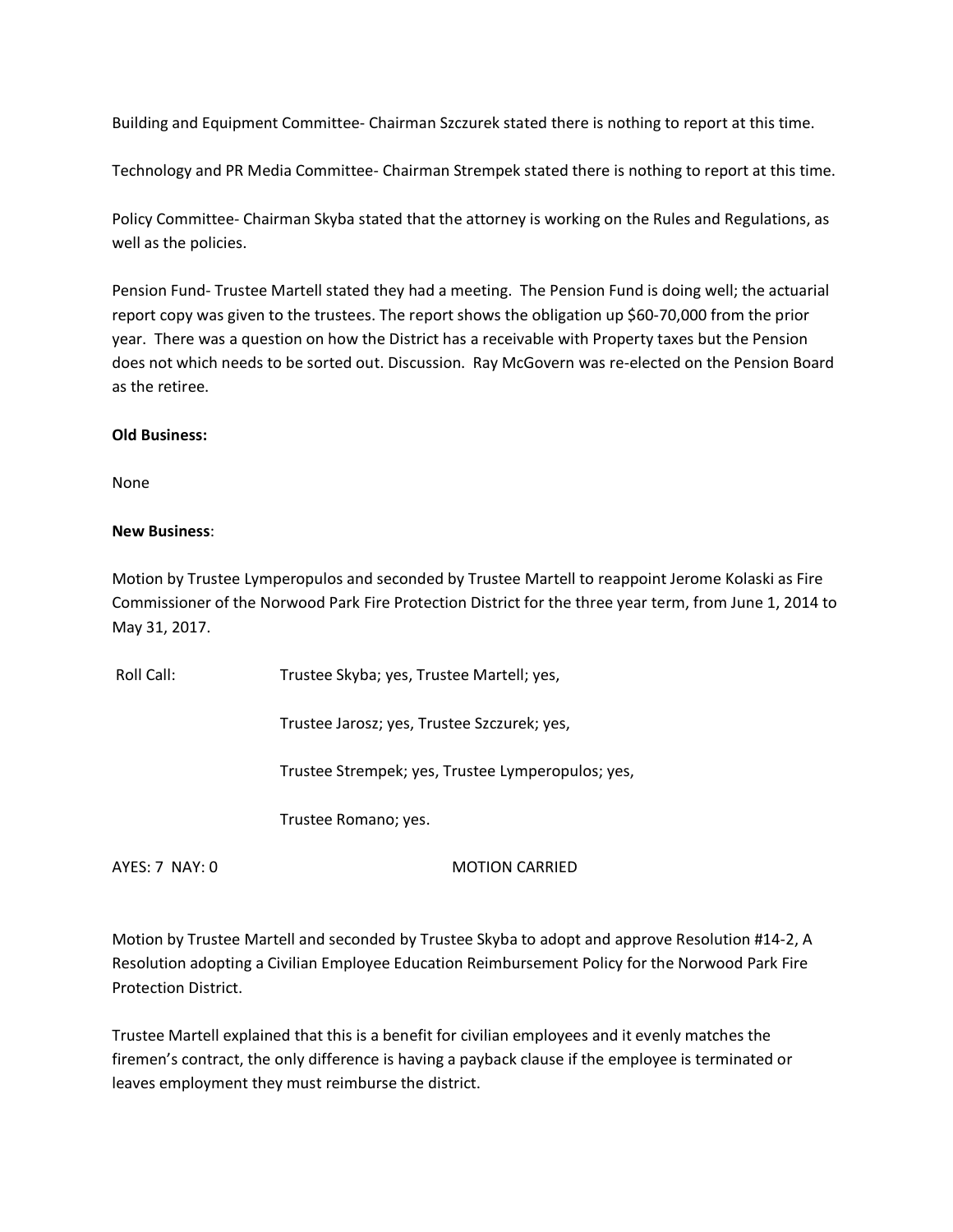Building and Equipment Committee- Chairman Szczurek stated there is nothing to report at this time.

Technology and PR Media Committee- Chairman Strempek stated there is nothing to report at this time.

Policy Committee- Chairman Skyba stated that the attorney is working on the Rules and Regulations, as well as the policies.

Pension Fund- Trustee Martell stated they had a meeting. The Pension Fund is doing well; the actuarial report copy was given to the trustees. The report shows the obligation up \$60-70,000 from the prior year. There was a question on how the District has a receivable with Property taxes but the Pension does not which needs to be sorted out. Discussion. Ray McGovern was re-elected on the Pension Board as the retiree.

#### **Old Business:**

None

## **New Business**:

Motion by Trustee Lymperopulos and seconded by Trustee Martell to reappoint Jerome Kolaski as Fire Commissioner of the Norwood Park Fire Protection District for the three year term, from June 1, 2014 to May 31, 2017.

Roll Call: Trustee Skyba; yes, Trustee Martell; yes, Trustee Jarosz; yes, Trustee Szczurek; yes, Trustee Strempek; yes, Trustee Lymperopulos; yes, Trustee Romano; yes. AYES: 7 NAY: 0 MOTION CARRIED

Motion by Trustee Martell and seconded by Trustee Skyba to adopt and approve Resolution #14-2, A Resolution adopting a Civilian Employee Education Reimbursement Policy for the Norwood Park Fire Protection District.

Trustee Martell explained that this is a benefit for civilian employees and it evenly matches the firemen's contract, the only difference is having a payback clause if the employee is terminated or leaves employment they must reimburse the district.